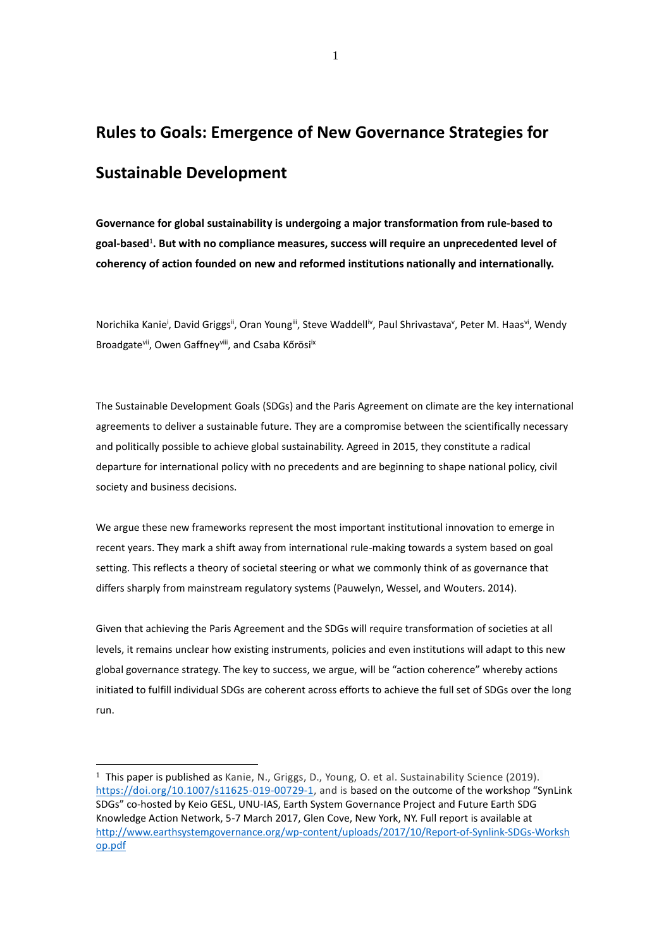# **Rules to Goals: Emergence of New Governance Strategies for Sustainable Development**

**Governance for global sustainability is undergoing a major transformation from rule-based to goal-based**<sup>1</sup> **. But with no compliance measures, success will require an unprecedented level of coherency of action founded on new and reformed institutions nationally and internationally.** 

Norichika Kanie<sup>i</sup>, David Griggs<sup>ii</sup>, Oran Young<sup>iii</sup>, Steve Waddell<sup>iv</sup>, Paul Shrivastava<sup>v</sup>, Peter M. Haas<sup>vi</sup>, Wendy Broadgate<sup>vii</sup>, Owen Gaffney<sup>viii</sup>, and Csaba Kőrösi<sup>ix</sup>

The Sustainable Development Goals (SDGs) and the Paris Agreement on climate are the key international agreements to deliver a sustainable future. They are a compromise between the scientifically necessary and politically possible to achieve global sustainability. Agreed in 2015, they constitute a radical departure for international policy with no precedents and are beginning to shape national policy, civil society and business decisions.

We argue these new frameworks represent the most important institutional innovation to emerge in recent years. They mark a shift away from international rule-making towards a system based on goal setting. This reflects a theory of societal steering or what we commonly think of as governance that differs sharply from mainstream regulatory systems (Pauwelyn, Wessel, and Wouters. 2014).

Given that achieving the Paris Agreement and the SDGs will require transformation of societies at all levels, it remains unclear how existing instruments, policies and even institutions will adapt to this new global governance strategy. The key to success, we argue, will be "action coherence" whereby actions initiated to fulfill individual SDGs are coherent across efforts to achieve the full set of SDGs over the long run.

<sup>&</sup>lt;sup>1</sup> This paper is published as Kanie, N., Griggs, D., Young, O. et al. Sustainability Science (2019). [https://doi.org/10.1007/s11625-019-00729-1,](https://doi.org/10.1007/s11625-019-00729-1) and is based on the outcome of the workshop "SynLink SDGs" co-hosted by Keio GESL, UNU-IAS, Earth System Governance Project and Future Earth SDG Knowledge Action Network, 5-7 March 2017, Glen Cove, New York, NY. Full report is available at [http://www.earthsystemgovernance.org/wp-content/uploads/2017/10/Report-of-Synlink-SDGs-Worksh](http://www.earthsystemgovernance.org/wp-content/uploads/2017/10/Report-of-Synlink-SDGs-Workshop.pdf) [op.pdf](http://www.earthsystemgovernance.org/wp-content/uploads/2017/10/Report-of-Synlink-SDGs-Workshop.pdf)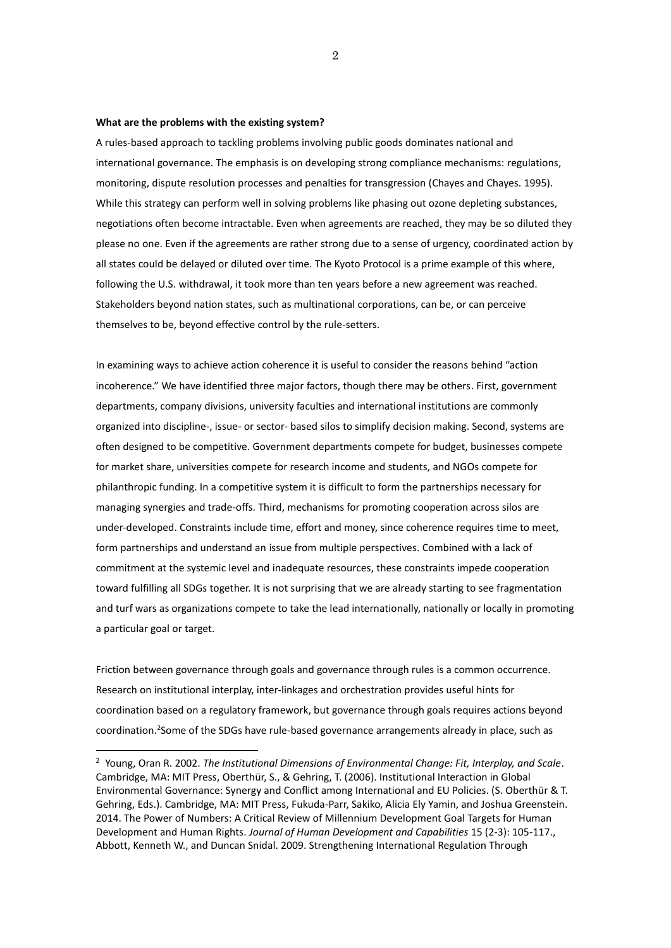#### **What are the problems with the existing system?**

A rules-based approach to tackling problems involving public goods dominates national and international governance. The emphasis is on developing strong compliance mechanisms: regulations, monitoring, dispute resolution processes and penalties for transgression (Chayes and Chayes. 1995). While this strategy can perform well in solving problems like phasing out ozone depleting substances, negotiations often become intractable. Even when agreements are reached, they may be so diluted they please no one. Even if the agreements are rather strong due to a sense of urgency, coordinated action by all states could be delayed or diluted over time. The Kyoto Protocol is a prime example of this where, following the U.S. withdrawal, it took more than ten years before a new agreement was reached. Stakeholders beyond nation states, such as multinational corporations, can be, or can perceive themselves to be, beyond effective control by the rule-setters.

In examining ways to achieve action coherence it is useful to consider the reasons behind "action incoherence." We have identified three major factors, though there may be others. First, government departments, company divisions, university faculties and international institutions are commonly organized into discipline-, issue- or sector- based silos to simplify decision making. Second, systems are often designed to be competitive. Government departments compete for budget, businesses compete for market share, universities compete for research income and students, and NGOs compete for philanthropic funding. In a competitive system it is difficult to form the partnerships necessary for managing synergies and trade-offs. Third, mechanisms for promoting cooperation across silos are under-developed. Constraints include time, effort and money, since coherence requires time to meet, form partnerships and understand an issue from multiple perspectives. Combined with a lack of commitment at the systemic level and inadequate resources, these constraints impede cooperation toward fulfilling all SDGs together. It is not surprising that we are already starting to see fragmentation and turf wars as organizations compete to take the lead internationally, nationally or locally in promoting a particular goal or target.

Friction between governance through goals and governance through rules is a common occurrence. Research on institutional interplay, inter-linkages and orchestration provides useful hints for coordination based on a regulatory framework, but governance through goals requires actions beyond coordination. 2 Some of the SDGs have rule-based governance arrangements already in place, such as

<sup>2</sup> Young, Oran R. 2002. *The Institutional Dimensions of Environmental Change: Fit, Interplay, and Scale*. Cambridge, MA: MIT Press, Oberthür, S., & Gehring, T. (2006). Institutional Interaction in Global Environmental Governance: Synergy and Conflict among International and EU Policies. (S. Oberthür & T. Gehring, Eds.). Cambridge, MA: MIT Press, Fukuda-Parr, Sakiko, Alicia Ely Yamin, and Joshua Greenstein. 2014. The Power of Numbers: A Critical Review of Millennium Development Goal Targets for Human Development and Human Rights. *Journal of Human Development and Capabilities* 15 (2-3): 105-117., Abbott, Kenneth W., and Duncan Snidal. 2009. Strengthening International Regulation Through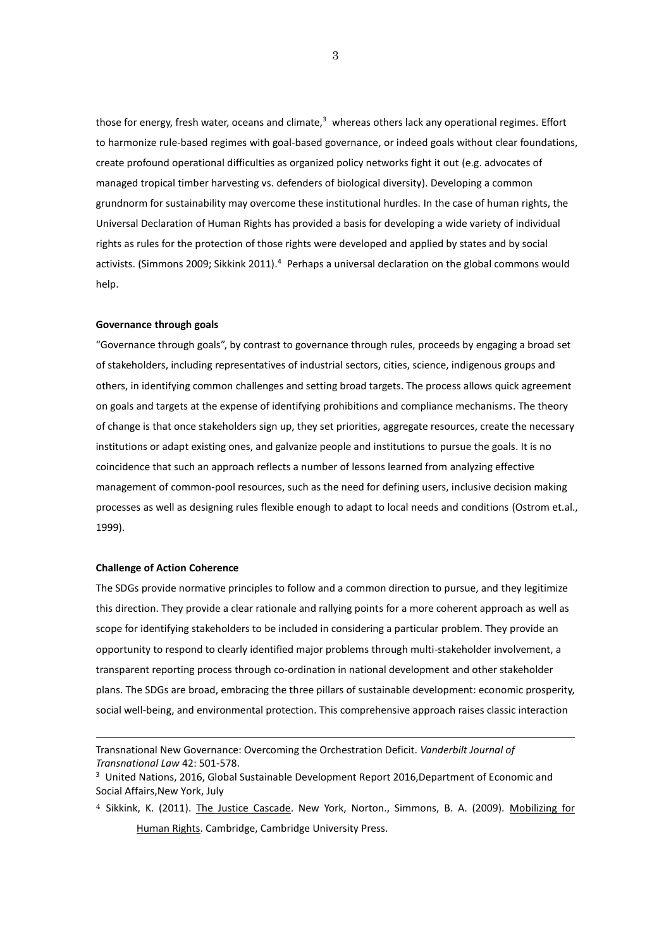those for energy, fresh water, oceans and climate,<sup>3</sup> whereas others lack any operational regimes. Effort to harmonize rule-based regimes with goal-based governance, or indeed goals without clear foundations, create profound operational difficulties as organized policy networks fight it out (e.g. advocates of managed tropical timber harvesting vs. defenders of biological diversity). Developing a common grundnorm for sustainability may overcome these institutional hurdles. In the case of human rights, the Universal Declaration of Human Rights has provided a basis for developing a wide variety of individual rights as rules for the protection of those rights were developed and applied by states and by social activists. (Simmons 2009; Sikkink 2011). <sup>4</sup> Perhaps a universal declaration on the global commons would help.

### **Governance through goals**

"Governance through goals", by contrast to governance through rules, proceeds by engaging a broad set of stakeholders, including representatives of industrial sectors, cities, science, indigenous groups and others, in identifying common challenges and setting broad targets. The process allows quick agreement on goals and targets at the expense of identifying prohibitions and compliance mechanisms. The theory of change is that once stakeholders sign up, they set priorities, aggregate resources, create the necessary institutions or adapt existing ones, and galvanize people and institutions to pursue the goals. It is no coincidence that such an approach reflects a number of lessons learned from analyzing effective management of common-pool resources, such as the need for defining users, inclusive decision making processes as well as designing rules flexible enough to adapt to local needs and conditions (Ostrom et.al., 1999).

# **Challenge of Action Coherence**

The SDGs provide normative principles to follow and a common direction to pursue, and they legitimize this direction. They provide a clear rationale and rallying points for a more coherent approach as well as scope for identifying stakeholders to be included in considering a particular problem. They provide an opportunity to respond to clearly identified major problems through multi-stakeholder involvement, a transparent reporting process through co-ordination in national development and other stakeholder plans. The SDGs are broad, embracing the three pillars of sustainable development: economic prosperity, social well-being, and environmental protection. This comprehensive approach raises classic interaction

 $4$  Sikkink, K. (2011). The Justice Cascade. New York, Norton., Simmons, B. A. (2009). Mobilizing for Human Rights. Cambridge, Cambridge University Press.

Transnational New Governance: Overcoming the Orchestration Deficit. *Vanderbilt Journal of Transnational Law* 42: 501-578.

<sup>&</sup>lt;sup>3</sup> United Nations, 2016, Global Sustainable Development Report 2016, Department of Economic and Social Affairs, New York, July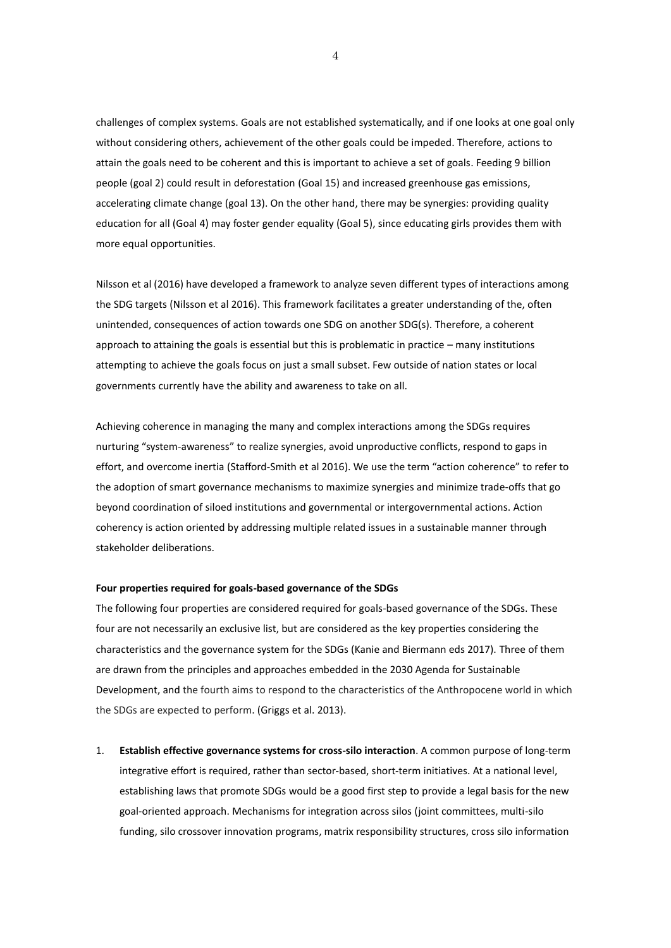challenges of complex systems. Goals are not established systematically, and if one looks at one goal only without considering others, achievement of the other goals could be impeded. Therefore, actions to attain the goals need to be coherent and this is important to achieve a set of goals. Feeding 9 billion people (goal 2) could result in deforestation (Goal 15) and increased greenhouse gas emissions, accelerating climate change (goal 13). On the other hand, there may be synergies: providing quality education for all (Goal 4) may foster gender equality (Goal 5), since educating girls provides them with more equal opportunities.

Nilsson et al (2016) have developed a framework to analyze seven different types of interactions among the SDG targets (Nilsson et al 2016). This framework facilitates a greater understanding of the, often unintended, consequences of action towards one SDG on another SDG(s). Therefore, a coherent approach to attaining the goals is essential but this is problematic in practice – many institutions attempting to achieve the goals focus on just a small subset. Few outside of nation states or local governments currently have the ability and awareness to take on all.

Achieving coherence in managing the many and complex interactions among the SDGs requires nurturing "system-awareness" to realize synergies, avoid unproductive conflicts, respond to gaps in effort, and overcome inertia (Stafford-Smith et al 2016). We use the term "action coherence" to refer to the adoption of smart governance mechanisms to maximize synergies and minimize trade-offs that go beyond coordination of siloed institutions and governmental or intergovernmental actions. Action coherency is action oriented by addressing multiple related issues in a sustainable manner through stakeholder deliberations.

# **Four properties required for goals-based governance of the SDGs**

The following four properties are considered required for goals-based governance of the SDGs. These four are not necessarily an exclusive list, but are considered as the key properties considering the characteristics and the governance system for the SDGs (Kanie and Biermann eds 2017). Three of them are drawn from the principles and approaches embedded in the 2030 Agenda for Sustainable Development, and the fourth aims to respond to the characteristics of the Anthropocene world in which the SDGs are expected to perform. (Griggs et al. 2013).

1. **Establish effective governance systems for cross-silo interaction**. A common purpose of long-term integrative effort is required, rather than sector-based, short-term initiatives. At a national level, establishing laws that promote SDGs would be a good first step to provide a legal basis for the new goal-oriented approach. Mechanisms for integration across silos (joint committees, multi-silo funding, silo crossover innovation programs, matrix responsibility structures, cross silo information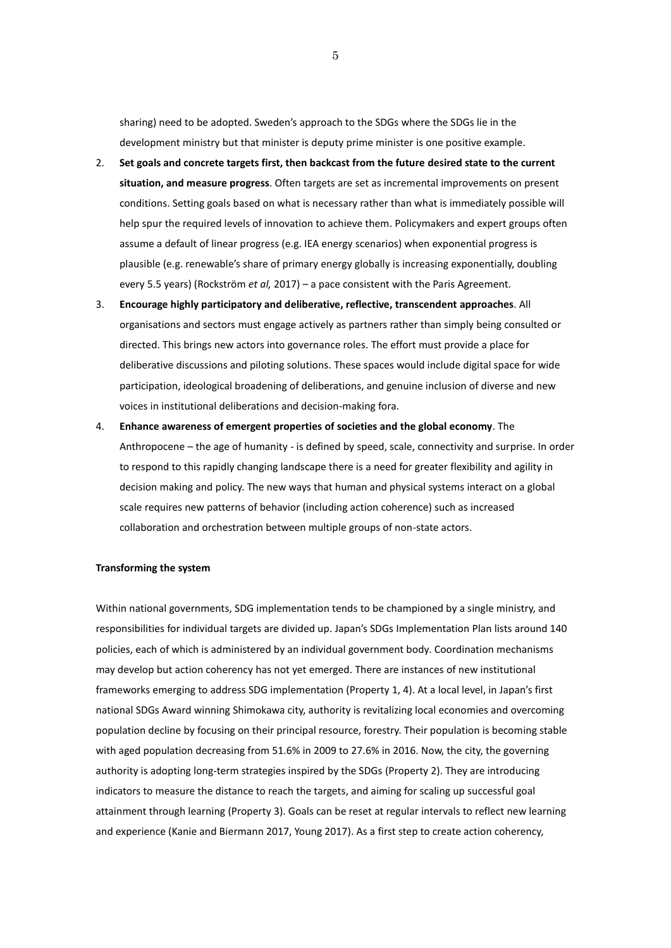sharing) need to be adopted. Sweden's approach to the SDGs where the SDGs lie in the development ministry but that minister is deputy prime minister is one positive example.

- 2. **Set goals and concrete targets first, then backcast from the future desired state to the current situation, and measure progress**. Often targets are set as incremental improvements on present conditions. Setting goals based on what is necessary rather than what is immediately possible will help spur the required levels of innovation to achieve them. Policymakers and expert groups often assume a default of linear progress (e.g. IEA energy scenarios) when exponential progress is plausible (e.g. renewable's share of primary energy globally is increasing exponentially, doubling every 5.5 years) (Rockström *et al,* 2017) – a pace consistent with the Paris Agreement.
- 3. **Encourage highly participatory and deliberative, reflective, transcendent approaches**. All organisations and sectors must engage actively as partners rather than simply being consulted or directed. This brings new actors into governance roles. The effort must provide a place for deliberative discussions and piloting solutions. These spaces would include digital space for wide participation, ideological broadening of deliberations, and genuine inclusion of diverse and new voices in institutional deliberations and decision-making fora.
- 4. **Enhance awareness of emergent properties of societies and the global economy**. The Anthropocene – the age of humanity - is defined by speed, scale, connectivity and surprise. In order to respond to this rapidly changing landscape there is a need for greater flexibility and agility in decision making and policy. The new ways that human and physical systems interact on a global scale requires new patterns of behavior (including action coherence) such as increased collaboration and orchestration between multiple groups of non-state actors.

# **Transforming the system**

Within national governments, SDG implementation tends to be championed by a single ministry, and responsibilities for individual targets are divided up. Japan's SDGs Implementation Plan lists around 140 policies, each of which is administered by an individual government body. Coordination mechanisms may develop but action coherency has not yet emerged. There are instances of new institutional frameworks emerging to address SDG implementation (Property 1, 4). At a local level, in Japan's first national SDGs Award winning Shimokawa city, authority is revitalizing local economies and overcoming population decline by focusing on their principal resource, forestry. Their population is becoming stable with aged population decreasing from 51.6% in 2009 to 27.6% in 2016. Now, the city, the governing authority is adopting long-term strategies inspired by the SDGs (Property 2). They are introducing indicators to measure the distance to reach the targets, and aiming for scaling up successful goal attainment through learning (Property 3). Goals can be reset at regular intervals to reflect new learning and experience (Kanie and Biermann 2017, Young 2017). As a first step to create action coherency,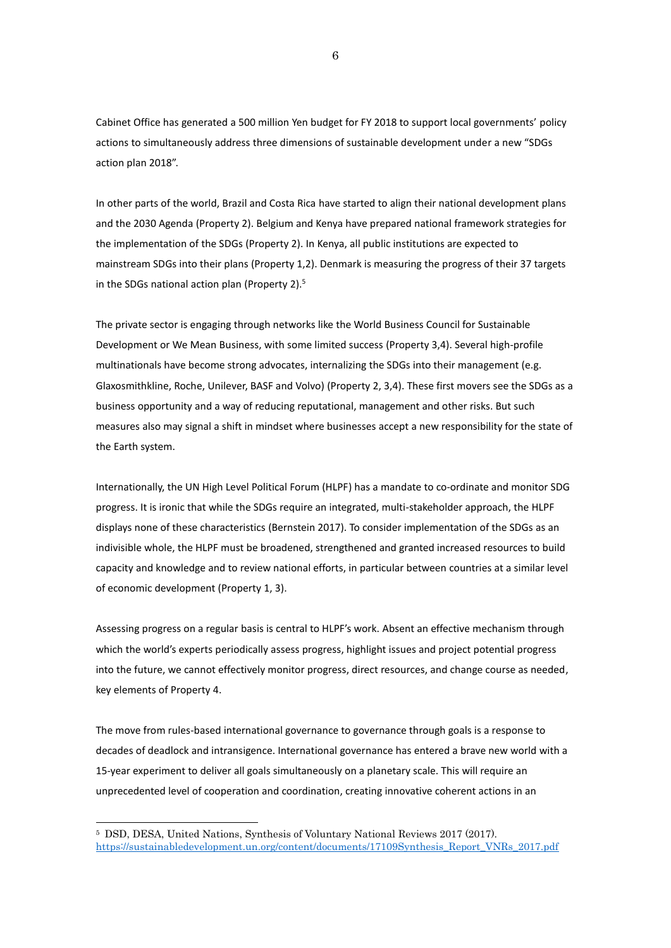Cabinet Office has generated a 500 million Yen budget for FY 2018 to support local governments' policy actions to simultaneously address three dimensions of sustainable development under a new "SDGs action plan 2018".

In other parts of the world, Brazil and Costa Rica have started to align their national development plans and the 2030 Agenda (Property 2). Belgium and Kenya have prepared national framework strategies for the implementation of the SDGs (Property 2). In Kenya, all public institutions are expected to mainstream SDGs into their plans (Property 1,2). Denmark is measuring the progress of their 37 targets in the SDGs national action plan (Property 2). 5

The private sector is engaging through networks like the World Business Council for Sustainable Development or We Mean Business, with some limited success (Property 3,4). Several high-profile multinationals have become strong advocates, internalizing the SDGs into their management (e.g. Glaxosmithkline, Roche, Unilever, BASF and Volvo) (Property 2, 3,4). These first movers see the SDGs as a business opportunity and a way of reducing reputational, management and other risks. But such measures also may signal a shift in mindset where businesses accept a new responsibility for the state of the Earth system.

Internationally, the UN High Level Political Forum (HLPF) has a mandate to co-ordinate and monitor SDG progress. It is ironic that while the SDGs require an integrated, multi-stakeholder approach, the HLPF displays none of these characteristics (Bernstein 2017). To consider implementation of the SDGs as an indivisible whole, the HLPF must be broadened, strengthened and granted increased resources to build capacity and knowledge and to review national efforts, in particular between countries at a similar level of economic development (Property 1, 3).

Assessing progress on a regular basis is central to HLPF's work. Absent an effective mechanism through which the world's experts periodically assess progress, highlight issues and project potential progress into the future, we cannot effectively monitor progress, direct resources, and change course as needed, key elements of Property 4.

The move from rules-based international governance to governance through goals is a response to decades of deadlock and intransigence. International governance has entered a brave new world with a 15-year experiment to deliver all goals simultaneously on a planetary scale. This will require an unprecedented level of cooperation and coordination, creating innovative coherent actions in an

<sup>5</sup> DSD, DESA, United Nations, Synthesis of Voluntary National Reviews 2017 (2017). [https://sustainabledevelopment.un.org/content/documents/17109Synthesis\\_Report\\_VNRs\\_2017.pdf](https://sustainabledevelopment.un.org/content/documents/17109Synthesis_Report_VNRs_2017.pdf)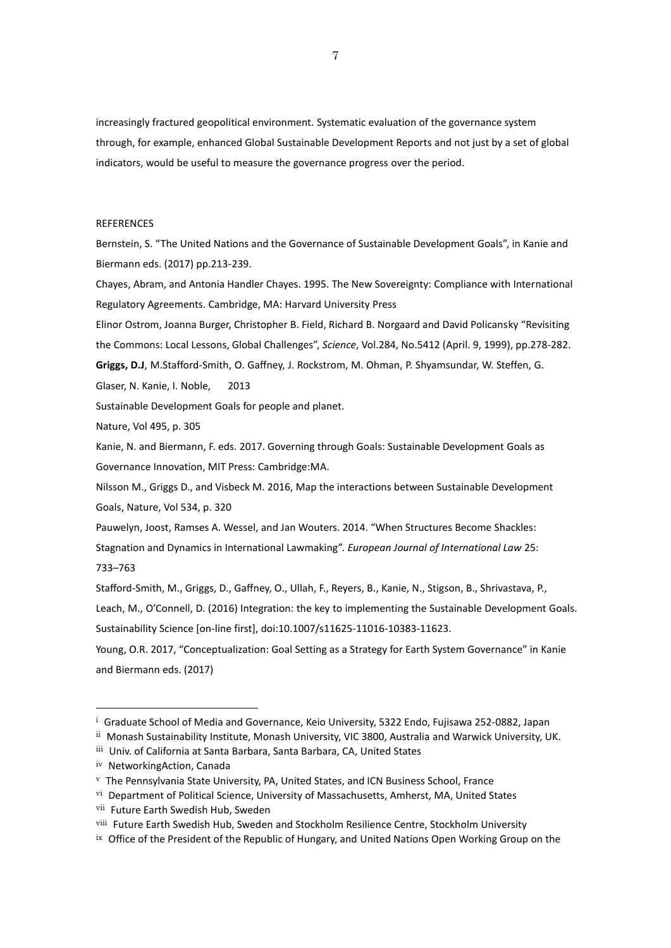increasingly fractured geopolitical environment. Systematic evaluation of the governance system through, for example, enhanced Global Sustainable Development Reports and not just by a set of global indicators, would be useful to measure the governance progress over the period.

# **REFERENCES**

Bernstein, S. "The United Nations and the Governance of Sustainable Development Goals", in Kanie and Biermann eds. (2017) pp.213-239.

Chayes, Abram, and Antonia Handler Chayes. 1995. The New Sovereignty: Compliance with International Regulatory Agreements. Cambridge, MA: Harvard University Press

Elinor Ostrom, Joanna Burger, Christopher B. Field, Richard B. Norgaard and David Policansky "Revisiting the Commons: Local Lessons, Global Challenges", *Science*, Vol.284, No.5412 (April. 9, 1999), pp.278-282. **Griggs, D.J**, M.Stafford-Smith, O. Gaffney, J. Rockstrom, M. Ohman, P. Shyamsundar, W. Steffen, G.

Glaser, N. Kanie, I. Noble, 2013

Sustainable Development Goals for people and planet.

Nature, Vol 495, p. 305

Kanie, N. and Biermann, F. eds. 2017. Governing through Goals: Sustainable Development Goals as Governance Innovation, MIT Press: Cambridge:MA.

Nilsson M., Griggs D., and Visbeck M. 2016, Map the interactions between Sustainable Development Goals, Nature, Vol 534, p. 320

Pauwelyn, Joost, Ramses A. Wessel, and Jan Wouters. 2014. "When Structures Become Shackles: Stagnation and Dynamics in International Lawmaking". *European Journal of International Law* 25: 733–763

Stafford-Smith, M., Griggs, D., Gaffney, O., Ullah, F., Reyers, B., Kanie, N., Stigson, B., Shrivastava, P., Leach, M., O'Connell, D. (2016) Integration: the key to implementing the Sustainable Development Goals. Sustainability Science [on-line first], doi:10.1007/s11625-11016-10383-11623.

Young, O.R. 2017, "Conceptualization: Goal Setting as a Strategy for Earth System Governance" in Kanie and Biermann eds. (2017)

<sup>&</sup>lt;sup>i</sup> Graduate School of Media and Governance, Keio University, 5322 Endo, Fujisawa 252-0882, Japan

ii Monash Sustainability Institute, Monash University, VIC 3800, Australia and Warwick University, UK.

iii Univ. of California at Santa Barbara, Santa Barbara, CA, United States

iv NetworkingAction, Canada

<sup>v</sup> The Pennsylvania State University, PA, United States, and ICN Business School, France

vi Department of Political Science, University of Massachusetts, Amherst, MA, United States

vii Future Earth Swedish Hub, Sweden

viii Future Earth Swedish Hub, Sweden and Stockholm Resilience Centre, Stockholm University

ix Office of the President of the Republic of Hungary, and United Nations Open Working Group on the